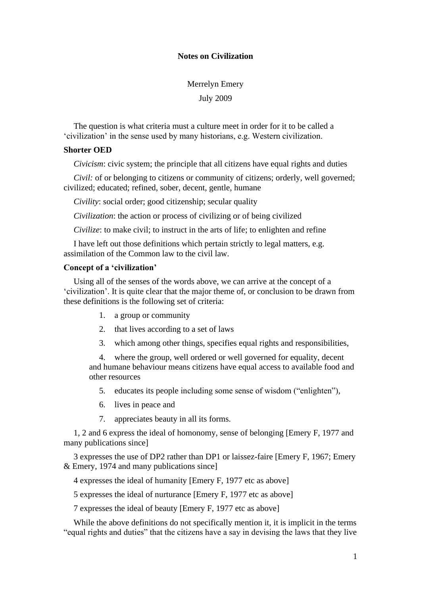# **Notes on Civilization**

Merrelyn Emery July 2009

The question is what criteria must a culture meet in order for it to be called a 'civilization' in the sense used by many historians, e.g. Western civilization.

## **Shorter OED**

*Civicism*: civic system; the principle that all citizens have equal rights and duties

*Civil:* of or belonging to citizens or community of citizens; orderly, well governed; civilized; educated; refined, sober, decent, gentle, humane

*Civility*: social order; good citizenship; secular quality

*Civilization*: the action or process of civilizing or of being civilized

*Civilize*: to make civil; to instruct in the arts of life; to enlighten and refine

I have left out those definitions which pertain strictly to legal matters, e.g. assimilation of the Common law to the civil law.

# **Concept of a 'civilization'**

Using all of the senses of the words above, we can arrive at the concept of a 'civilization'. It is quite clear that the major theme of, or conclusion to be drawn from these definitions is the following set of criteria:

- 1. a group or community
- 2. that lives according to a set of laws
- 3. which among other things, specifies equal rights and responsibilities,

4. where the group, well ordered or well governed for equality, decent and humane behaviour means citizens have equal access to available food and other resources

- 5. educates its people including some sense of wisdom ("enlighten"),
- 6. lives in peace and
- 7. appreciates beauty in all its forms.

1, 2 and 6 express the ideal of homonomy, sense of belonging [Emery F, 1977 and many publications since]

3 expresses the use of DP2 rather than DP1 or laissez-faire [Emery F, 1967; Emery & Emery, 1974 and many publications since]

4 expresses the ideal of humanity [Emery F, 1977 etc as above]

5 expresses the ideal of nurturance [Emery F, 1977 etc as above]

7 expresses the ideal of beauty [Emery F, 1977 etc as above]

While the above definitions do not specifically mention it, it is implicit in the terms "equal rights and duties" that the citizens have a say in devising the laws that they live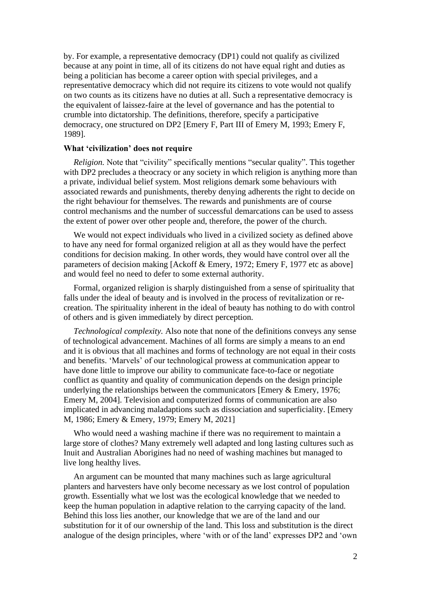by. For example, a representative democracy (DP1) could not qualify as civilized because at any point in time, all of its citizens do not have equal right and duties as being a politician has become a career option with special privileges, and a representative democracy which did not require its citizens to vote would not qualify on two counts as its citizens have no duties at all. Such a representative democracy is the equivalent of laissez-faire at the level of governance and has the potential to crumble into dictatorship. The definitions, therefore, specify a participative democracy, one structured on DP2 [Emery F, Part III of Emery M, 1993; Emery F, 1989].

## **What 'civilization' does not require**

*Religion.* Note that "civility" specifically mentions "secular quality". This together with DP2 precludes a theocracy or any society in which religion is anything more than a private, individual belief system. Most religions demark some behaviours with associated rewards and punishments, thereby denying adherents the right to decide on the right behaviour for themselves. The rewards and punishments are of course control mechanisms and the number of successful demarcations can be used to assess the extent of power over other people and, therefore, the power of the church.

We would not expect individuals who lived in a civilized society as defined above to have any need for formal organized religion at all as they would have the perfect conditions for decision making. In other words, they would have control over all the parameters of decision making [Ackoff & Emery, 1972; Emery F, 1977 etc as above] and would feel no need to defer to some external authority.

Formal, organized religion is sharply distinguished from a sense of spirituality that falls under the ideal of beauty and is involved in the process of revitalization or recreation. The spirituality inherent in the ideal of beauty has nothing to do with control of others and is given immediately by direct perception.

*Technological complexity.* Also note that none of the definitions conveys any sense of technological advancement. Machines of all forms are simply a means to an end and it is obvious that all machines and forms of technology are not equal in their costs and benefits. 'Marvels' of our technological prowess at communication appear to have done little to improve our ability to communicate face-to-face or negotiate conflict as quantity and quality of communication depends on the design principle underlying the relationships between the communicators [Emery & Emery, 1976; Emery M, 2004]. Television and computerized forms of communication are also implicated in advancing maladaptions such as dissociation and superficiality. [Emery M, 1986; Emery & Emery, 1979; Emery M, 2021]

Who would need a washing machine if there was no requirement to maintain a large store of clothes? Many extremely well adapted and long lasting cultures such as Inuit and Australian Aborigines had no need of washing machines but managed to live long healthy lives.

An argument can be mounted that many machines such as large agricultural planters and harvesters have only become necessary as we lost control of population growth. Essentially what we lost was the ecological knowledge that we needed to keep the human population in adaptive relation to the carrying capacity of the land. Behind this loss lies another, our knowledge that we are of the land and our substitution for it of our ownership of the land. This loss and substitution is the direct analogue of the design principles, where 'with or of the land' expresses DP2 and 'own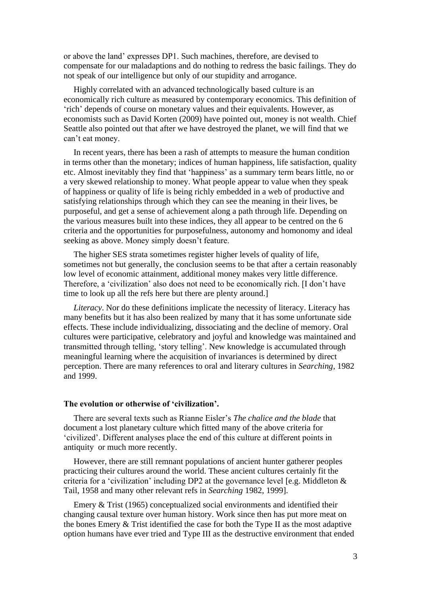or above the land' expresses DP1. Such machines, therefore, are devised to compensate for our maladaptions and do nothing to redress the basic failings. They do not speak of our intelligence but only of our stupidity and arrogance.

Highly correlated with an advanced technologically based culture is an economically rich culture as measured by contemporary economics. This definition of 'rich' depends of course on monetary values and their equivalents. However, as economists such as David Korten (2009) have pointed out, money is not wealth. Chief Seattle also pointed out that after we have destroyed the planet, we will find that we can't eat money.

In recent years, there has been a rash of attempts to measure the human condition in terms other than the monetary; indices of human happiness, life satisfaction, quality etc. Almost inevitably they find that 'happiness' as a summary term bears little, no or a very skewed relationship to money. What people appear to value when they speak of happiness or quality of life is being richly embedded in a web of productive and satisfying relationships through which they can see the meaning in their lives, be purposeful, and get a sense of achievement along a path through life. Depending on the various measures built into these indices, they all appear to be centred on the 6 criteria and the opportunities for purposefulness, autonomy and homonomy and ideal seeking as above. Money simply doesn't feature.

The higher SES strata sometimes register higher levels of quality of life, sometimes not but generally, the conclusion seems to be that after a certain reasonably low level of economic attainment, additional money makes very little difference. Therefore, a 'civilization' also does not need to be economically rich. [I don't have time to look up all the refs here but there are plenty around.]

*Literacy*. Nor do these definitions implicate the necessity of literacy. Literacy has many benefits but it has also been realized by many that it has some unfortunate side effects. These include individualizing, dissociating and the decline of memory. Oral cultures were participative, celebratory and joyful and knowledge was maintained and transmitted through telling, 'story telling'. New knowledge is accumulated through meaningful learning where the acquisition of invariances is determined by direct perception. There are many references to oral and literary cultures in *Searching*, 1982 and 1999.

### **The evolution or otherwise of 'civilization'.**

There are several texts such as Rianne Eisler's *The chalice and the blade* that document a lost planetary culture which fitted many of the above criteria for 'civilized'. Different analyses place the end of this culture at different points in antiquity or much more recently.

However, there are still remnant populations of ancient hunter gatherer peoples practicing their cultures around the world. These ancient cultures certainly fit the criteria for a 'civilization' including DP2 at the governance level [e.g. Middleton & Tail, 1958 and many other relevant refs in *Searching* 1982, 1999].

Emery & Trist (1965) conceptualized social environments and identified their changing causal texture over human history. Work since then has put more meat on the bones Emery & Trist identified the case for both the Type II as the most adaptive option humans have ever tried and Type III as the destructive environment that ended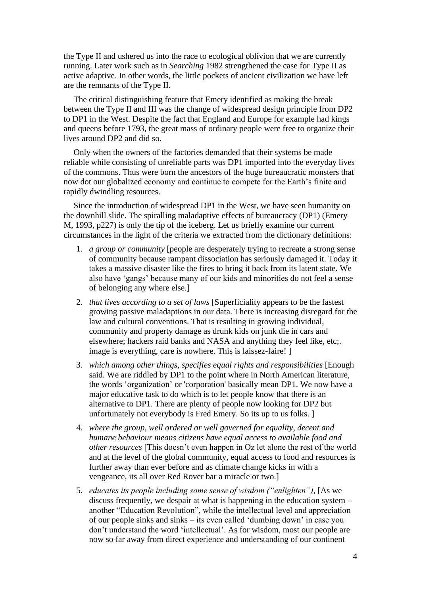the Type II and ushered us into the race to ecological oblivion that we are currently running. Later work such as in *Searching* 1982 strengthened the case for Type II as active adaptive. In other words, the little pockets of ancient civilization we have left are the remnants of the Type II.

The critical distinguishing feature that Emery identified as making the break between the Type II and III was the change of widespread design principle from DP2 to DP1 in the West. Despite the fact that England and Europe for example had kings and queens before 1793, the great mass of ordinary people were free to organize their lives around DP2 and did so.

Only when the owners of the factories demanded that their systems be made reliable while consisting of unreliable parts was DP1 imported into the everyday lives of the commons. Thus were born the ancestors of the huge bureaucratic monsters that now dot our globalized economy and continue to compete for the Earth's finite and rapidly dwindling resources.

Since the introduction of widespread DP1 in the West, we have seen humanity on the downhill slide. The spiralling maladaptive effects of bureaucracy (DP1) (Emery M, 1993, p227) is only the tip of the iceberg. Let us briefly examine our current circumstances in the light of the criteria we extracted from the dictionary definitions:

- 1. *a group or community* [people are desperately trying to recreate a strong sense of community because rampant dissociation has seriously damaged it. Today it takes a massive disaster like the fires to bring it back from its latent state. We also have 'gangs' because many of our kids and minorities do not feel a sense of belonging any where else.]
- 2. *that lives according to a set of laws* [Superficiality appears to be the fastest growing passive maladaptions in our data. There is increasing disregard for the law and cultural conventions. That is resulting in growing individual, community and property damage as drunk kids on junk die in cars and elsewhere; hackers raid banks and NASA and anything they feel like, etc;. image is everything, care is nowhere. This is laissez-faire! ]
- 3. *which among other things, specifies equal rights and responsibilities* [Enough said. We are riddled by DP1 to the point where in North American literature, the words 'organization' or 'corporation' basically mean DP1. We now have a major educative task to do which is to let people know that there is an alternative to DP1. There are plenty of people now looking for DP2 but unfortunately not everybody is Fred Emery. So its up to us folks. ]
- 4. *where the group, well ordered or well governed for equality, decent and humane behaviour means citizens have equal access to available food and other resources* [This doesn't even happen in Oz let alone the rest of the world and at the level of the global community, equal access to food and resources is further away than ever before and as climate change kicks in with a vengeance, its all over Red Rover bar a miracle or two.]
- 5. *educates its people including some sense of wisdom ("enlighten")*, [As we discuss frequently, we despair at what is happening in the education system – another "Education Revolution", while the intellectual level and appreciation of our people sinks and sinks – its even called 'dumbing down' in case you don't understand the word 'intellectual'. As for wisdom, most our people are now so far away from direct experience and understanding of our continent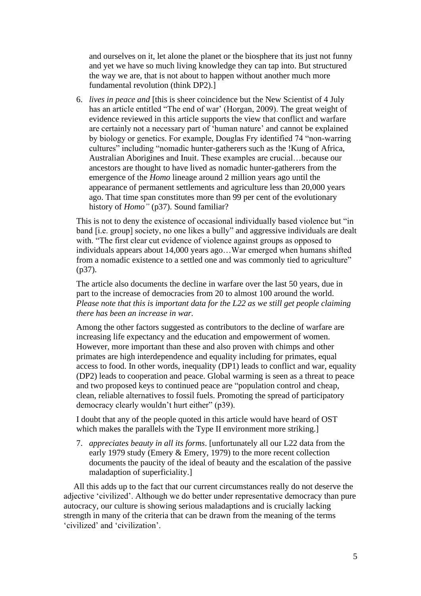and ourselves on it, let alone the planet or the biosphere that its just not funny and yet we have so much living knowledge they can tap into. But structured the way we are, that is not about to happen without another much more fundamental revolution (think DP2).]

6. *lives in peace and* [this is sheer coincidence but the New Scientist of 4 July has an article entitled "The end of war' (Horgan, 2009). The great weight of evidence reviewed in this article supports the view that conflict and warfare are certainly not a necessary part of 'human nature' and cannot be explained by biology or genetics. For example, Douglas Fry identified 74 "non-warring cultures" including "nomadic hunter-gatherers such as the !Kung of Africa, Australian Aborigines and Inuit. These examples are crucial…because our ancestors are thought to have lived as nomadic hunter-gatherers from the emergence of the *Homo* lineage around 2 million years ago until the appearance of permanent settlements and agriculture less than 20,000 years ago. That time span constitutes more than 99 per cent of the evolutionary history of *Homo"* (p37). Sound familiar?

This is not to deny the existence of occasional individually based violence but "in band [i.e. group] society, no one likes a bully" and aggressive individuals are dealt with. "The first clear cut evidence of violence against groups as opposed to individuals appears about 14,000 years ago…War emerged when humans shifted from a nomadic existence to a settled one and was commonly tied to agriculture" (p37).

The article also documents the decline in warfare over the last 50 years, due in part to the increase of democracies from 20 to almost 100 around the world. *Please note that this is important data for the L22 as we still get people claiming there has been an increase in war.* 

Among the other factors suggested as contributors to the decline of warfare are increasing life expectancy and the education and empowerment of women. However, more important than these and also proven with chimps and other primates are high interdependence and equality including for primates, equal access to food. In other words, inequality (DP1) leads to conflict and war, equality (DP2) leads to cooperation and peace. Global warming is seen as a threat to peace and two proposed keys to continued peace are "population control and cheap, clean, reliable alternatives to fossil fuels. Promoting the spread of participatory democracy clearly wouldn't hurt either" (p39).

I doubt that any of the people quoted in this article would have heard of OST which makes the parallels with the Type II environment more striking.]

7. *appreciates beauty in all its forms*. [unfortunately all our L22 data from the early 1979 study (Emery & Emery, 1979) to the more recent collection documents the paucity of the ideal of beauty and the escalation of the passive maladaption of superficiality.]

All this adds up to the fact that our current circumstances really do not deserve the adjective 'civilized'. Although we do better under representative democracy than pure autocracy, our culture is showing serious maladaptions and is crucially lacking strength in many of the criteria that can be drawn from the meaning of the terms 'civilized' and 'civilization'.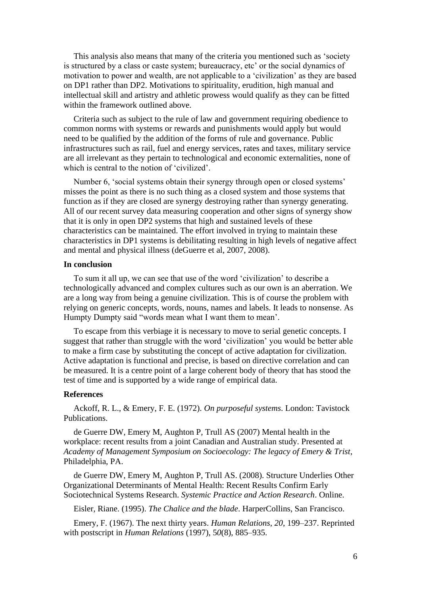This analysis also means that many of the criteria you mentioned such as 'society is structured by a class or caste system; bureaucracy, etc' or the social dynamics of motivation to power and wealth, are not applicable to a 'civilization' as they are based on DP1 rather than DP2. Motivations to spirituality, erudition, high manual and intellectual skill and artistry and athletic prowess would qualify as they can be fitted within the framework outlined above.

Criteria such as subject to the rule of law and government requiring obedience to common norms with systems or rewards and punishments would apply but would need to be qualified by the addition of the forms of rule and governance. Public infrastructures such as rail, fuel and energy services, rates and taxes, military service are all irrelevant as they pertain to technological and economic externalities, none of which is central to the notion of 'civilized'.

Number 6, 'social systems obtain their synergy through open or closed systems' misses the point as there is no such thing as a closed system and those systems that function as if they are closed are synergy destroying rather than synergy generating. All of our recent survey data measuring cooperation and other signs of synergy show that it is only in open DP2 systems that high and sustained levels of these characteristics can be maintained. The effort involved in trying to maintain these characteristics in DP1 systems is debilitating resulting in high levels of negative affect and mental and physical illness (deGuerre et al, 2007, 2008).

## **In conclusion**

To sum it all up, we can see that use of the word 'civilization' to describe a technologically advanced and complex cultures such as our own is an aberration. We are a long way from being a genuine civilization. This is of course the problem with relying on generic concepts, words, nouns, names and labels. It leads to nonsense. As Humpty Dumpty said "words mean what I want them to mean'.

To escape from this verbiage it is necessary to move to serial genetic concepts. I suggest that rather than struggle with the word 'civilization' you would be better able to make a firm case by substituting the concept of active adaptation for civilization. Active adaptation is functional and precise, is based on directive correlation and can be measured. It is a centre point of a large coherent body of theory that has stood the test of time and is supported by a wide range of empirical data.

#### **References**

Ackoff, R. L., & Emery, F. E. (1972). *On purposeful systems*. London: Tavistock Publications.

de Guerre DW, Emery M, Aughton P, Trull AS (2007) Mental health in the workplace: recent results from a joint Canadian and Australian study. Presented at *Academy of Management Symposium on Socioecology: The legacy of Emery & Trist*, Philadelphia, PA.

de Guerre DW, Emery M, Aughton P, Trull AS. (2008). Structure Underlies Other Organizational Determinants of Mental Health: Recent Results Confirm Early Sociotechnical Systems Research. *Systemic Practice and Action Research*. Online.

Eisler, Riane. (1995). *The Chalice and the blade*. HarperCollins, San Francisco.

Emery, F. (1967). The next thirty years. *Human Relations, 20*, 199–237. Reprinted with postscript in *Human Relations* (1997), 5*0*(8), 885–935.